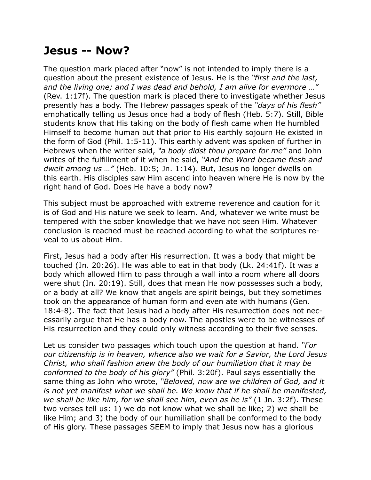## **Jesus -- Now?**

The question mark placed after "now" is not intended to imply there is a question about the present existence of Jesus. He is the *"first and the last, and the living one; and I was dead and behold, I am alive for evermore …"* (Rev. 1:17f). The question mark is placed there to investigate whether Jesus presently has a body. The Hebrew passages speak of the *"days of his flesh"* emphatically telling us Jesus once had a body of flesh (Heb. 5:7). Still, Bible students know that His taking on the body of flesh came when He humbled Himself to become human but that prior to His earthly sojourn He existed in the form of God (Phil. 1:5-11). This earthly advent was spoken of further in Hebrews when the writer said, *"a body didst thou prepare for me"* and John writes of the fulfillment of it when he said, *"And the Word became flesh and dwelt among us …"* (Heb. 10:5; Jn. 1:14). But, Jesus no longer dwells on this earth. His disciples saw Him ascend into heaven where He is now by the right hand of God. Does He have a body now?

This subject must be approached with extreme reverence and caution for it is of God and His nature we seek to learn. And, whatever we write must be tempered with the sober knowledge that we have not seen Him. Whatever conclusion is reached must be reached according to what the scriptures reveal to us about Him.

First, Jesus had a body after His resurrection. It was a body that might be touched (Jn. 20:26). He was able to eat in that body (Lk. 24:41f). It was a body which allowed Him to pass through a wall into a room where all doors were shut (Jn. 20:19). Still, does that mean He now possesses such a body, or a body at all? We know that angels are spirit beings, but they sometimes took on the appearance of human form and even ate with humans (Gen. 18:4-8). The fact that Jesus had a body after His resurrection does not necessarily argue that He has a body now. The apostles were to be witnesses of His resurrection and they could only witness according to their five senses.

Let us consider two passages which touch upon the question at hand. *"For our citizenship is in heaven, whence also we wait for a Savior, the Lord Jesus Christ, who shall fashion anew the body of our humiliation that it may be conformed to the body of his glory"* (Phil. 3:20f). Paul says essentially the same thing as John who wrote, *"Beloved, now are we children of God, and it is not yet manifest what we shall be. We know that if he shall be manifested, we shall be like him, for we shall see him, even as he is"* (1 Jn. 3:2f). These two verses tell us: 1) we do not know what we shall be like; 2) we shall be like Him; and 3) the body of our humiliation shall be conformed to the body of His glory. These passages SEEM to imply that Jesus now has a glorious